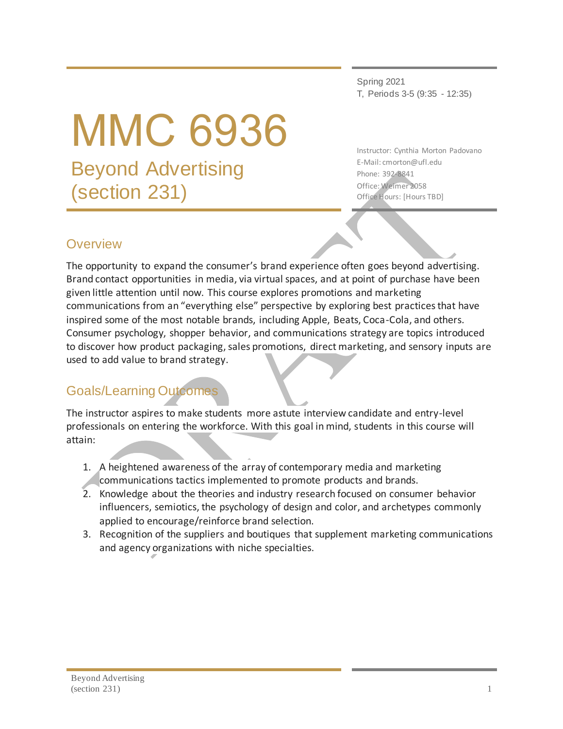Spring 2021 T, Periods 3-5 (9:35 - 12:35)

# MMC 6936 Beyond Advertising (section 231)

Instructor: Cynthia Morton Padovano E-Mail: cmorton@ufl.edu Phone: 392-8841 Office: Weimer 2058 Office Hours: [Hours TBD]

## **Overview**

The opportunity to expand the consumer's brand experience often goes beyond advertising. Brand contact opportunities in media, via virtual spaces, and at point of purchase have been given little attention until now. This course explores promotions and marketing communications from an "everything else" perspective by exploring best practices that have inspired some of the most notable brands, including Apple, Beats, Coca-Cola, and others. Consumer psychology, shopper behavior, and communications strategy are topics introduced to discover how product packaging, sales promotions, direct marketing, and sensory inputs are used to add value to brand strategy.

# Goals/Learning Outcomes

The instructor aspires to make students more astute interview candidate and entry-level professionals on entering the workforce. With this goal in mind, students in this course will attain:

- 1. A heightened awareness of the array of contemporary media and marketing communications tactics implemented to promote products and brands.
- 2. Knowledge about the theories and industry research focused on consumer behavior influencers, semiotics, the psychology of design and color, and archetypes commonly applied to encourage/reinforce brand selection.
- 3. Recognition of the suppliers and boutiques that supplement marketing communications and agency organizations with niche specialties.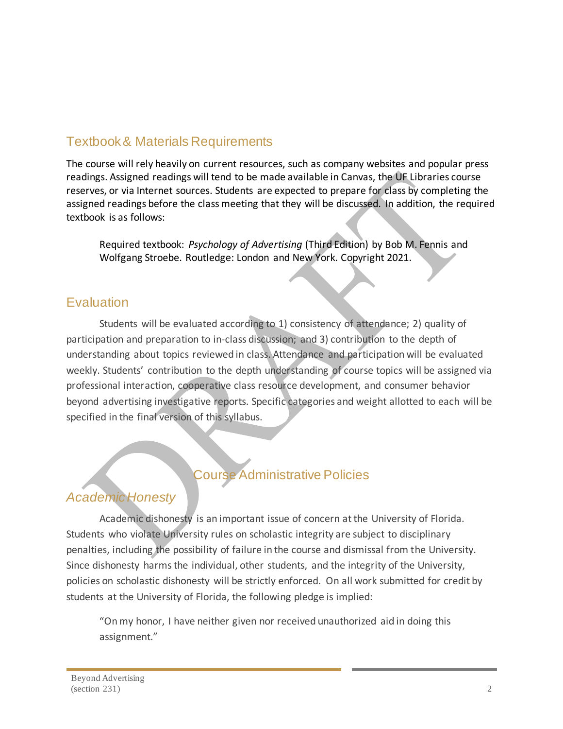## Textbook & Materials Requirements

The course will rely heavily on current resources, such as company websites and popular press readings. Assigned readings will tend to be made available in Canvas, the UF Libraries course reserves, or via Internet sources. Students are expected to prepare for class by completing the assigned readings before the class meeting that they will be discussed. In addition, the required textbook is as follows:

Required textbook: *Psychology of Advertising* (Third Edition) by Bob M. Fennis and Wolfgang Stroebe. Routledge: London and New York. Copyright 2021.

#### **Evaluation**

Students will be evaluated according to 1) consistency of attendance; 2) quality of participation and preparation to in-class discussion; and 3) contribution to the depth of understanding about topics reviewed in class. Attendance and participation will be evaluated weekly. Students' contribution to the depth understanding of course topics will be assigned via professional interaction, cooperative class resource development, and consumer behavior beyond advertising investigative reports. Specific categories and weight allotted to each will be specified in the final version of this syllabus.

# Course Administrative Policies

#### *Academic Honesty*

Academic dishonesty is an important issue of concern at the University of Florida. Students who violate University rules on scholastic integrity are subject to disciplinary penalties, including the possibility of failure in the course and dismissal from the University. Since dishonesty harms the individual, other students, and the integrity of the University, policies on scholastic dishonesty will be strictly enforced. On all work submitted for credit by students at the University of Florida, the following pledge is implied:

"On my honor, I have neither given nor received unauthorized aid in doing this assignment."